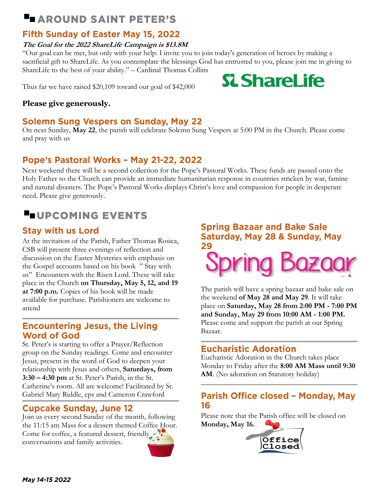## **LAROUND SAINT PETER'S**

## **Fifth Sunday of Easter May 15, 2022**

#### **The Goal for the 2022 ShareLife Campaign is \$13.8M**

"Our goal can be met, but only with your help. I invite you to join today's generation of heroes by making a sacrificial gift to ShareLife. As you contemplate the blessings God has entrusted to you, please join me in giving to ShareLife to the best of your ability." – Cardinal Thomas Collins **SL ShareLife** 

Thus far we have raised \$20,109 toward our goal of \$42,000

#### **Please give generously.**

#### **Solemn Sung Vespers on Sunday, May 22**

On next Sunday, **May 22**, the parish will celebrate Solemn Sung Vespers at 5:00 PM in the Church. Please come and pray with us

## Pope's Pastoral Works - May 21-22, 2022

Next weekend there will be a second collection for the Pope's Pastoral Works. These funds are passed onto the Holy Father so the Church can provide an immediate humanitarian response in countries stricken by war, famine and natural disasters. The Pope's Pastoral Works displays Christ's love and compassion for people in desperate need. Please give generously.

## **LUPCOMING EVENTS**

## **Stay with us Lord**

At the invitation of the Parish, Father Thomas Rosica, CSB will present three evenings of reflection and discussion on the Easter Mysteries with emphasis on the Gospel accounts based on his book " Stay with us" Encounters with the Risen Lord. These will take place in the Church **on Thursday, May 5, 12, and 19 at 7:00 p.m.** Copies of his book will be made available for purchase. Parishioners are welcome to attend

#### **Encountering Jesus, the Living Word of God**

St. Peter's is starting to offer a Prayer/Reflection group on the Sunday readings. Come and encounter Jesus, present in the word of God to deepen your relationship with Jesus and others, **Saturdays, from 3:30 – 4:30 pm** at St. Peter's Parish, in the St. Catherine's room. All are welcome! Facilitated by Sr. Gabriel Mary Riddle, cps and Cameron Crawford

## **Cupcake Sunday, June 12**

Join us every second Sunday of the month, following the 11:15 am Mass for a dessert themed Coffee Hour. Come for coffee, a featured dessert, friendly conversations and family activities.

## **Spring Bazaar and Bake Sale** Saturday, May 28 & Sunday, May 29 spring Bazac

The parish will have a spring bazaar and bake sale on the weekend **of May 28 and May 29**. It will take place on **Saturday, May 28 from 2:00 PM - 7:00 PM and Sunday, May 29 from 10:00 AM - 1:00 PM.** Please come and support the parish at our Spring Bazaar.

## **Eucharistic Adoration**

Eucharistic Adoration in the Church takes place Monday to Friday after the **8:00 AM Mass until 9:30 AM**. (No adoration on Statutory holiday)

## Parish Office closed - Monday, May 16

Please note that the Parish office will be closed on **Monday, May 16.**